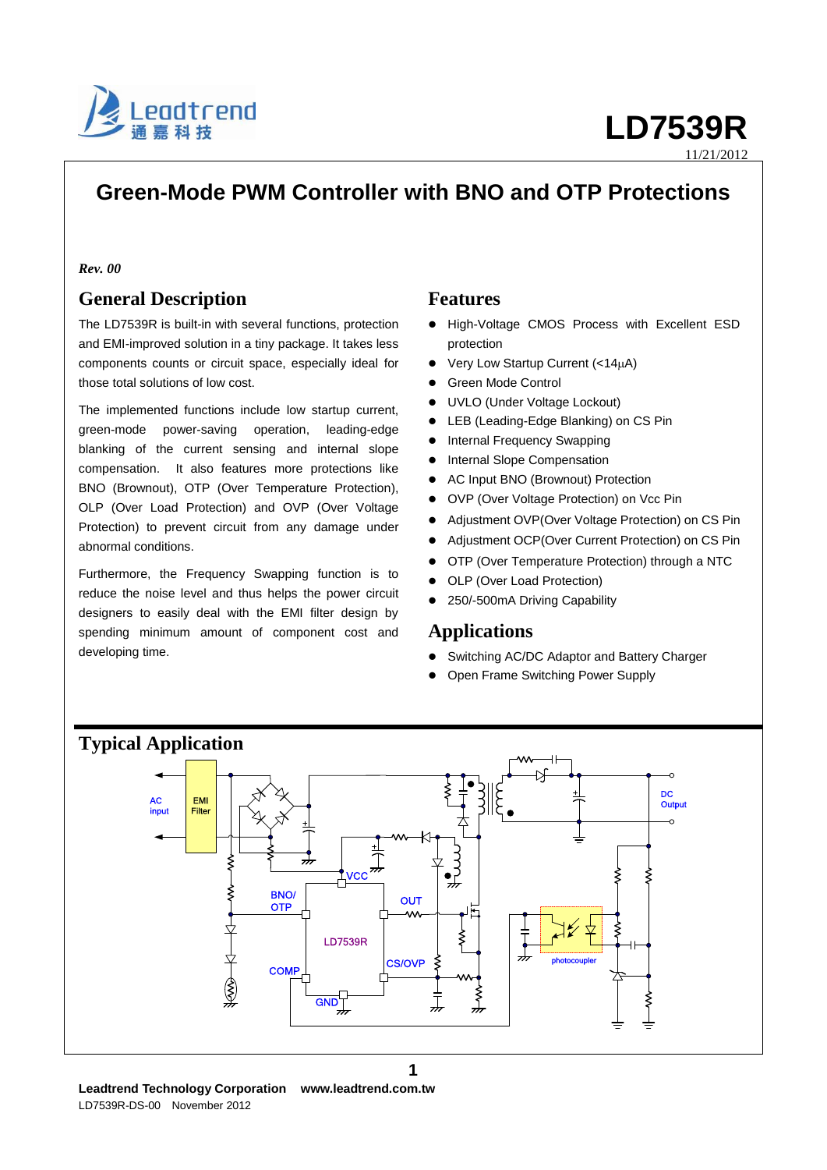

11/21/2012

# **Green-Mode PWM Controller with BNO and OTP Protections**

### *Rev. 00*

## **General Description**

The LD7539R is built-in with several functions, protection and EMI-improved solution in a tiny package. It takes less components counts or circuit space, especially ideal for those total solutions of low cost.

The implemented functions include low startup current, green-mode power-saving operation, leading-edge blanking of the current sensing and internal slope compensation. It also features more protections like BNO (Brownout), OTP (Over Temperature Protection), OLP (Over Load Protection) and OVP (Over Voltage Protection) to prevent circuit from any damage under abnormal conditions.

Furthermore, the Frequency Swapping function is to reduce the noise level and thus helps the power circuit designers to easily deal with the EMI filter design by spending minimum amount of component cost and developing time.

## **Features**

- High-Voltage CMOS Process with Excellent ESD protection
- Very Low Startup Current  $(<14\mu A)$
- Green Mode Control
- UVLO (Under Voltage Lockout)
- LEB (Leading-Edge Blanking) on CS Pin
- Internal Frequency Swapping
- Internal Slope Compensation
- AC Input BNO (Brownout) Protection
- OVP (Over Voltage Protection) on Vcc Pin
- Adjustment OVP(Over Voltage Protection) on CS Pin
- Adjustment OCP(Over Current Protection) on CS Pin
- OTP (Over Temperature Protection) through a NTC
- OLP (Over Load Protection)
- 250/-500mA Driving Capability

## **Applications**

- Switching AC/DC Adaptor and Battery Charger
- Open Frame Switching Power Supply



**Leadtrend Technology Corporation www.leadtrend.com.tw** LD7539R-DS-00 November 2012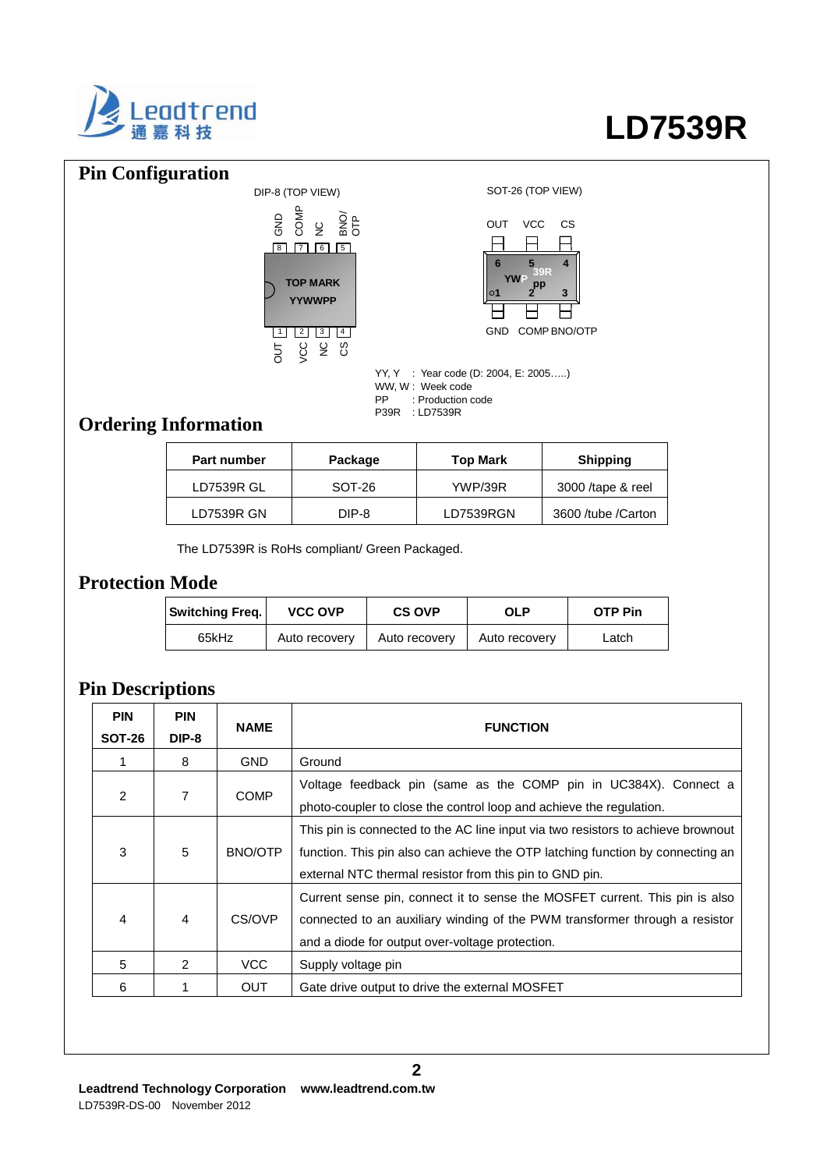

### **Pin Configuration** DIP-8 (TOP VIEW) SOT-26 (TOP VIEW) YY, Y : Year code (D: 2004, E: 2005…..) WW, W : Week code<br>PP : Production c : Production code P39R : LD7539R **1 2 3 6 5 4** GND COMPBNO/OTP OUT VCC CS **YWP 39R pp** 1 | 2 | 3 | 4 8 | 17 | 16 | 15 **TOP MARK YYWWPP** OUT ပ္ ၂<br>><br>> GND 능<br>O 오 OR<br>이<br>이

# **Ordering Information**

| Part number       | Package | <b>Top Mark</b> | <b>Shipping</b>    |
|-------------------|---------|-----------------|--------------------|
| <b>LD7539R GL</b> | SOT-26  | <b>YWP/39R</b>  | 3000 /tape & reel  |
| LD7539R GN        | DIP-8   | LD7539RGN       | 3600 /tube /Carton |

The LD7539R is RoHs compliant/ Green Packaged.

## **Protection Mode**

| <b>Switching Freq.</b> | <b>VCC OVP</b> | <b>CS OVP</b> | OLP           | <b>OTP Pin</b> |
|------------------------|----------------|---------------|---------------|----------------|
| 65kHz                  | Auto recovery  | Auto recovery | Auto recovery | Latch          |

# **Pin Descriptions**

| <b>PIN</b><br><b>SOT-26</b> | <b>PIN</b><br>DIP-8 | <b>NAME</b>                                                                                                                                            | <b>FUNCTION</b>                                                                                                                                                                                                               |  |
|-----------------------------|---------------------|--------------------------------------------------------------------------------------------------------------------------------------------------------|-------------------------------------------------------------------------------------------------------------------------------------------------------------------------------------------------------------------------------|--|
|                             | 8                   | <b>GND</b>                                                                                                                                             | Ground                                                                                                                                                                                                                        |  |
| 2                           | 7                   | Voltage feedback pin (same as the COMP pin in UC384X). Connect a<br><b>COMP</b><br>photo-coupler to close the control loop and achieve the regulation. |                                                                                                                                                                                                                               |  |
| 3                           | 5                   | BNO/OTP                                                                                                                                                | This pin is connected to the AC line input via two resistors to achieve brownout<br>function. This pin also can achieve the OTP latching function by connecting an<br>external NTC thermal resistor from this pin to GND pin. |  |
| 4                           | $\overline{4}$      | CS/OVP                                                                                                                                                 | Current sense pin, connect it to sense the MOSFET current. This pin is also<br>connected to an auxiliary winding of the PWM transformer through a resistor<br>and a diode for output over-voltage protection.                 |  |
| 5                           | $\mathcal{P}$       | VCC                                                                                                                                                    | Supply voltage pin                                                                                                                                                                                                            |  |
| 6                           |                     | <b>OUT</b>                                                                                                                                             | Gate drive output to drive the external MOSFET                                                                                                                                                                                |  |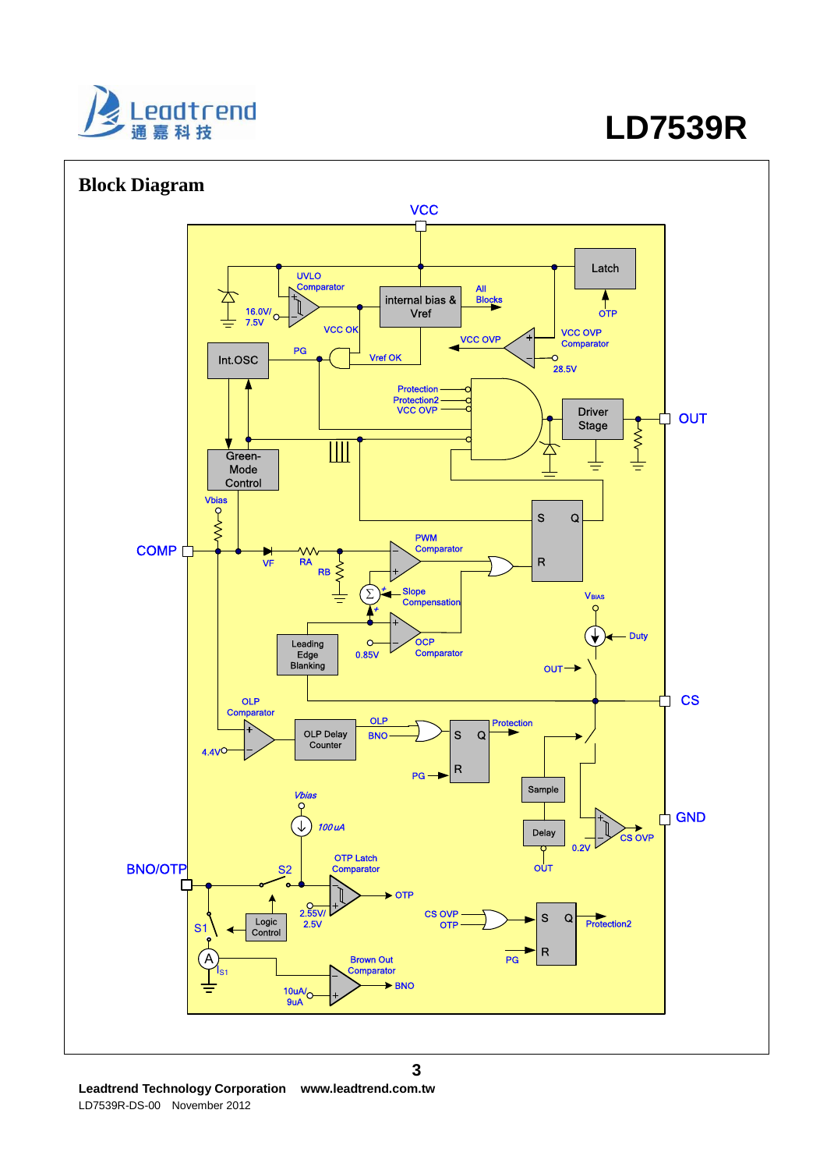

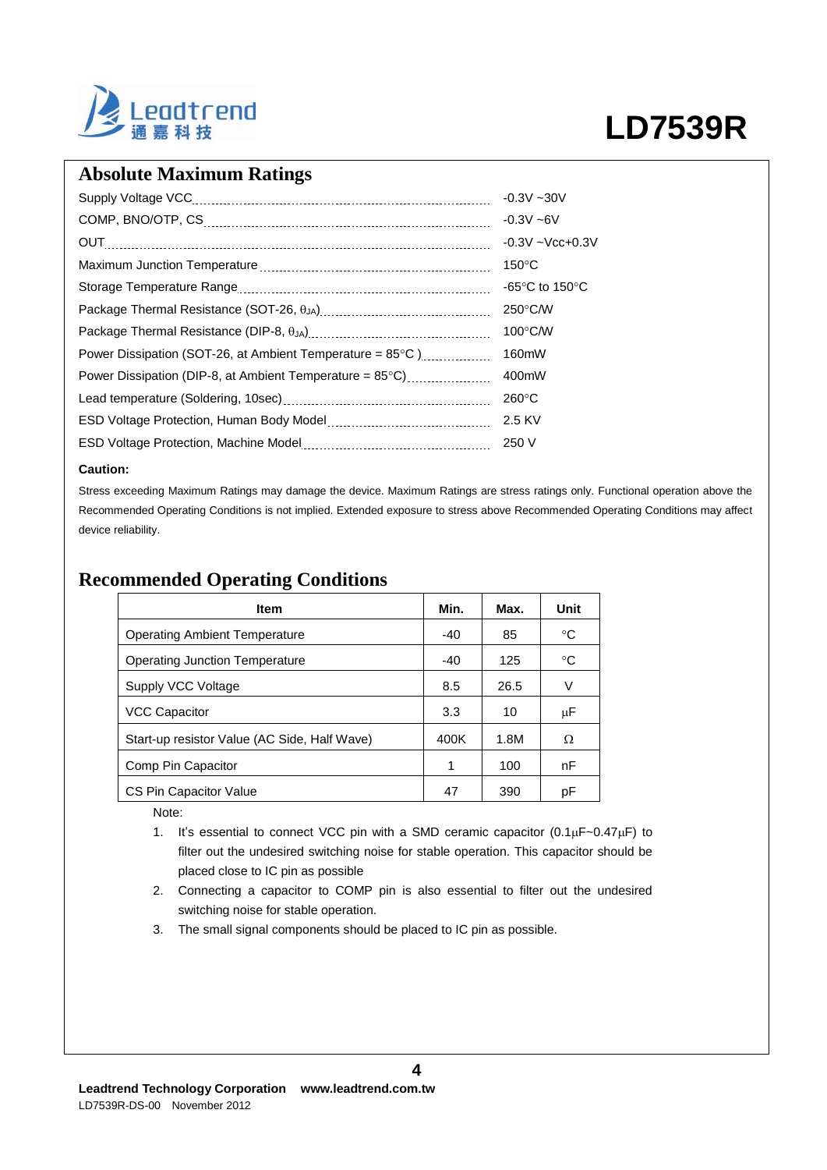

## **Absolute Maximum Ratings**

|                                                                     | $-0.3V - 30V$                      |
|---------------------------------------------------------------------|------------------------------------|
|                                                                     | $-0.3V - 6V$                       |
|                                                                     | $-0.3V - Vcc + 0.3V$               |
|                                                                     | $150^{\circ}$ C                    |
|                                                                     | -65 $\degree$ C to 150 $\degree$ C |
|                                                                     | $250^{\circ}$ C/W                  |
|                                                                     | $100^{\circ}$ C/W                  |
| Power Dissipation (SOT-26, at Ambient Temperature = $85^{\circ}$ C) | 160mW                              |
| Power Dissipation (DIP-8, at Ambient Temperature = $85^{\circ}$ C)  | 400mW                              |
|                                                                     | $260^{\circ}$ C                    |
|                                                                     | 2.5 KV                             |
|                                                                     | 250 V                              |

### **Caution:**

Stress exceeding Maximum Ratings may damage the device. Maximum Ratings are stress ratings only. Functional operation above the Recommended Operating Conditions is not implied. Extended exposure to stress above Recommended Operating Conditions may affect device reliability.

## **Recommended Operating Conditions**

| <b>Item</b>                                  | Min.  | Max. | Unit |
|----------------------------------------------|-------|------|------|
| <b>Operating Ambient Temperature</b>         | $-40$ | 85   | °C   |
| <b>Operating Junction Temperature</b>        |       | 125  | °C   |
| Supply VCC Voltage                           | 8.5   | 26.5 | V    |
| <b>VCC Capacitor</b>                         | 3.3   | 10   | μF   |
| Start-up resistor Value (AC Side, Half Wave) | 400K  | 1.8M | Ω    |
| Comp Pin Capacitor                           | 1     | 100  | nF   |
| CS Pin Capacitor Value                       | 47    | 390  | рF   |

Note:

- 1. It's essential to connect VCC pin with a SMD ceramic capacitor  $(0.1 \mu F \sim 0.47 \mu F)$  to filter out the undesired switching noise for stable operation. This capacitor should be placed close to IC pin as possible
- 2. Connecting a capacitor to COMP pin is also essential to filter out the undesired switching noise for stable operation.
- 3. The small signal components should be placed to IC pin as possible.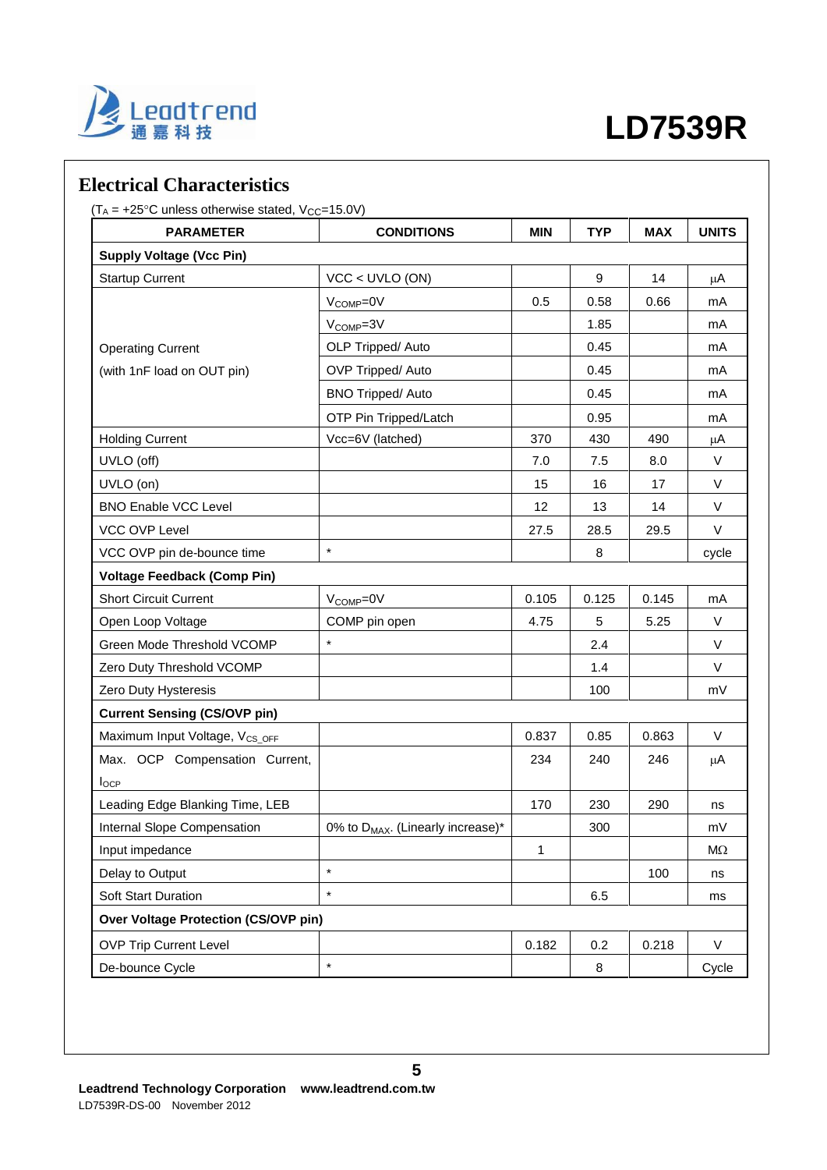

## **Electrical Characteristics**

 $(T_A = +25^{\circ}C$  unless otherwise stated,  $V_{CC} = 15.0V$ )

| <b>PARAMETER</b>                            | <b>CONDITIONS</b>                             | <b>MIN</b> | <b>TYP</b> | <b>MAX</b> | <b>UNITS</b> |
|---------------------------------------------|-----------------------------------------------|------------|------------|------------|--------------|
| <b>Supply Voltage (Vcc Pin)</b>             |                                               |            |            |            |              |
| <b>Startup Current</b>                      | $VCC < UVLO$ (ON)                             |            | 9          | 14         | μA           |
|                                             | V <sub>COMP</sub> =0V                         | 0.5        | 0.58       | 0.66       | mA           |
|                                             | V <sub>COMP</sub> =3V                         |            | 1.85       |            | mA           |
| <b>Operating Current</b>                    | OLP Tripped/ Auto                             |            | 0.45       |            | mA           |
| (with 1nF load on OUT pin)                  | OVP Tripped/ Auto                             |            | 0.45       |            | mA           |
|                                             | <b>BNO Tripped/ Auto</b>                      |            | 0.45       |            | mA           |
|                                             | OTP Pin Tripped/Latch                         |            | 0.95       |            | mA           |
| <b>Holding Current</b>                      | Vcc=6V (latched)                              | 370        | 430        | 490        | μA           |
| UVLO (off)                                  |                                               | 7.0        | 7.5        | 8.0        | V            |
| UVLO (on)                                   |                                               | 15         | 16         | 17         | V            |
| <b>BNO Enable VCC Level</b>                 |                                               | 12         | 13         | 14         | V            |
| VCC OVP Level                               |                                               | 27.5       | 28.5       | 29.5       | $\vee$       |
| VCC OVP pin de-bounce time                  | $\star$                                       |            | 8          |            | cycle        |
| <b>Voltage Feedback (Comp Pin)</b>          |                                               |            |            |            |              |
| <b>Short Circuit Current</b>                | V <sub>COMP</sub> =0V                         | 0.105      | 0.125      | 0.145      | mA           |
| Open Loop Voltage                           | COMP pin open                                 | 4.75       | 5          | 5.25       | $\vee$       |
| Green Mode Threshold VCOMP                  | $\star$                                       |            | 2.4        |            | $\vee$       |
| Zero Duty Threshold VCOMP                   |                                               |            | 1.4        |            | $\vee$       |
| Zero Duty Hysteresis                        |                                               |            | 100        |            | mV           |
| <b>Current Sensing (CS/OVP pin)</b>         |                                               |            |            |            |              |
| Maximum Input Voltage, V <sub>CS_OFF</sub>  |                                               | 0.837      | 0.85       | 0.863      | $\vee$       |
| Max. OCP Compensation Current,              |                                               | 234        | 240        | 246        | $\mu$ A      |
| $I_{OCP}$                                   |                                               |            |            |            |              |
| Leading Edge Blanking Time, LEB             |                                               | 170        | 230        | 290        | ns           |
| Internal Slope Compensation                 | 0% to D <sub>MAX</sub> . (Linearly increase)* |            | 300        |            | mV           |
| Input impedance                             |                                               | 1          |            |            | $M\Omega$    |
| Delay to Output                             | $\star$                                       |            |            | 100        | ns           |
| Soft Start Duration                         | $\star$                                       |            | 6.5        |            | ms           |
| <b>Over Voltage Protection (CS/OVP pin)</b> |                                               |            |            |            |              |
| <b>OVP Trip Current Level</b>               |                                               | 0.182      | 0.2        | 0.218      | V            |
| De-bounce Cycle                             | $\star$                                       |            | 8          |            | Cycle        |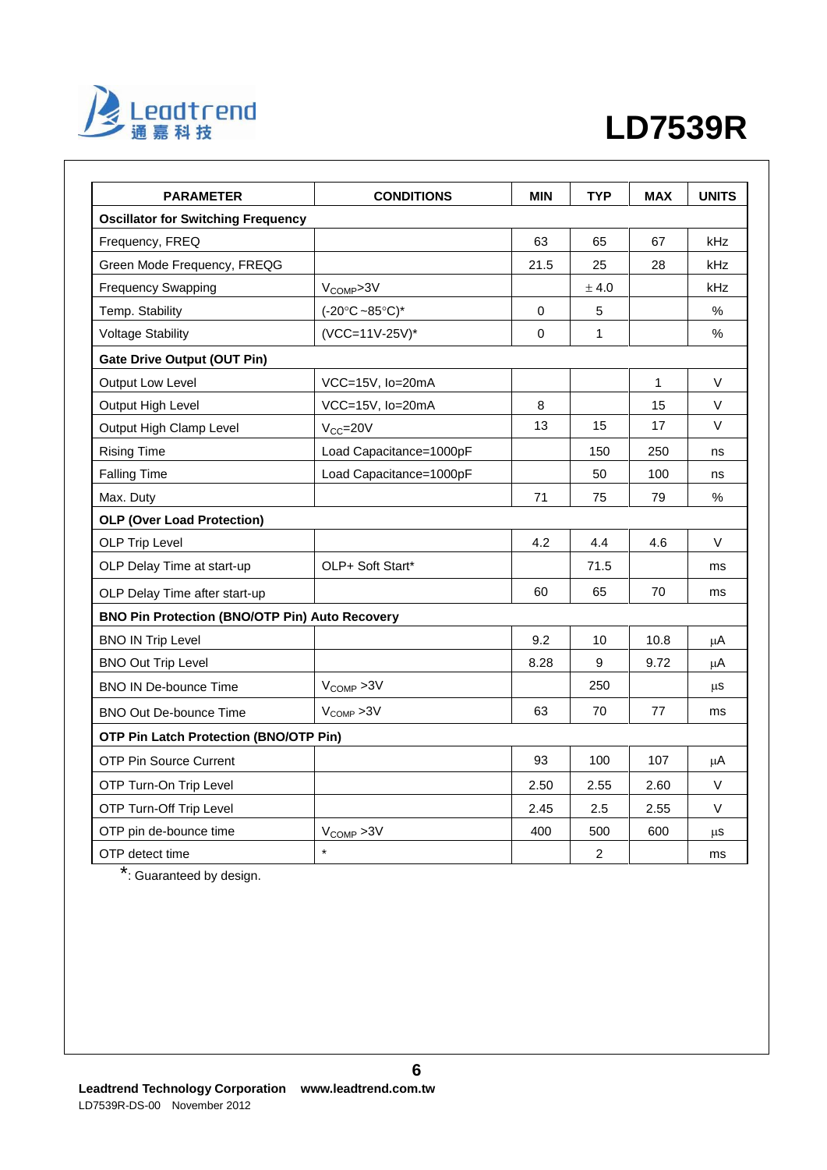

| <b>PARAMETER</b>                                      | <b>CONDITIONS</b>                  | <b>MIN</b>  | <b>TYP</b>       | <b>MAX</b> | <b>UNITS</b> |
|-------------------------------------------------------|------------------------------------|-------------|------------------|------------|--------------|
| <b>Oscillator for Switching Frequency</b>             |                                    |             |                  |            |              |
| Frequency, FREQ                                       |                                    | 63          | 65               | 67         | kHz          |
| Green Mode Frequency, FREQG                           |                                    | 21.5        | 25               | 28         | kHz          |
| <b>Frequency Swapping</b>                             | V <sub>COMP</sub> >3V              |             | ± 4.0            |            | kHz          |
| Temp. Stability                                       | $(-20^{\circ}C - 85^{\circ}C)^{*}$ | $\mathbf 0$ | 5                |            | $\%$         |
| <b>Voltage Stability</b>                              | (VCC=11V-25V)*                     | 0           | 1                |            | %            |
| <b>Gate Drive Output (OUT Pin)</b>                    |                                    |             |                  |            |              |
| Output Low Level                                      | VCC=15V, lo=20mA                   |             |                  | 1          | V            |
| Output High Level                                     | VCC=15V, lo=20mA                   | 8           |                  | 15         | V            |
| Output High Clamp Level                               | $V_{CC} = 20V$                     | 13          | 15               | 17         | V            |
| <b>Rising Time</b>                                    | Load Capacitance=1000pF            |             | 150              | 250        | ns           |
| <b>Falling Time</b>                                   | Load Capacitance=1000pF            |             | 50               | 100        | ns           |
| Max. Duty                                             |                                    | 71          | 75               | 79         | $\%$         |
| <b>OLP (Over Load Protection)</b>                     |                                    |             |                  |            |              |
| OLP Trip Level                                        |                                    | 4.2         | 4.4              | 4.6        | V            |
| OLP Delay Time at start-up                            | OLP+ Soft Start*                   |             | 71.5             |            | ms           |
| OLP Delay Time after start-up                         |                                    | 60          | 65               | 70         | ms           |
| <b>BNO Pin Protection (BNO/OTP Pin) Auto Recovery</b> |                                    |             |                  |            |              |
| <b>BNO IN Trip Level</b>                              |                                    | 9.2         | 10               | 10.8       | $\mu$ A      |
| <b>BNO Out Trip Level</b>                             |                                    | 8.28        | $\boldsymbol{9}$ | 9.72       | $\mu$ A      |
| <b>BNO IN De-bounce Time</b>                          | $V_{\text{COMP}} > 3V$             |             | 250              |            | $\mu$ S      |
| <b>BNO Out De-bounce Time</b>                         | $V_{COMP} > 3V$                    | 63          | 70               | 77         | ms           |
| <b>OTP Pin Latch Protection (BNO/OTP Pin)</b>         |                                    |             |                  |            |              |
| <b>OTP Pin Source Current</b>                         |                                    | 93          | 100              | 107        | μA           |
| OTP Turn-On Trip Level                                |                                    | 2.50        | 2.55             | 2.60       | $\vee$       |
| OTP Turn-Off Trip Level                               |                                    | 2.45        | 2.5              | 2.55       | V            |
| OTP pin de-bounce time                                | $V_{COMP} > 3V$                    | 400         | 500              | 600        | μS           |
| OTP detect time                                       | $\star$                            |             | $\overline{2}$   |            | ms           |

\*: Guaranteed by design.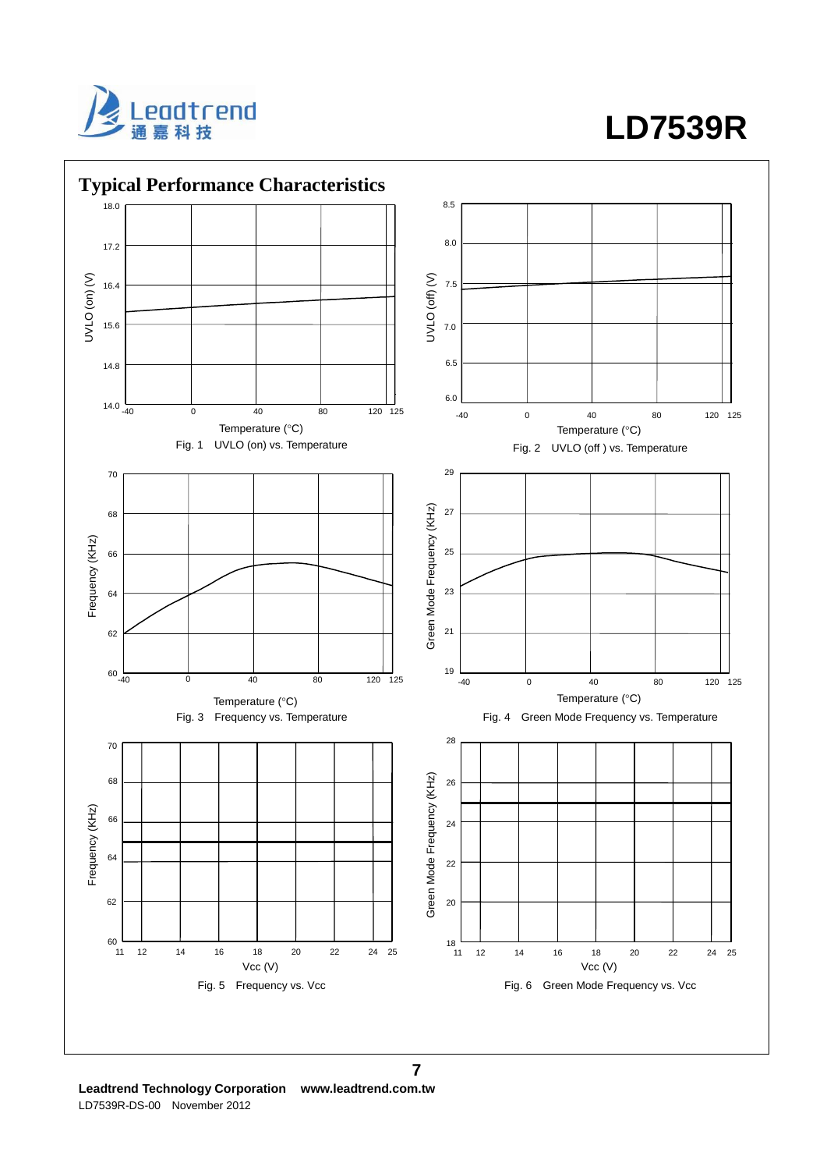

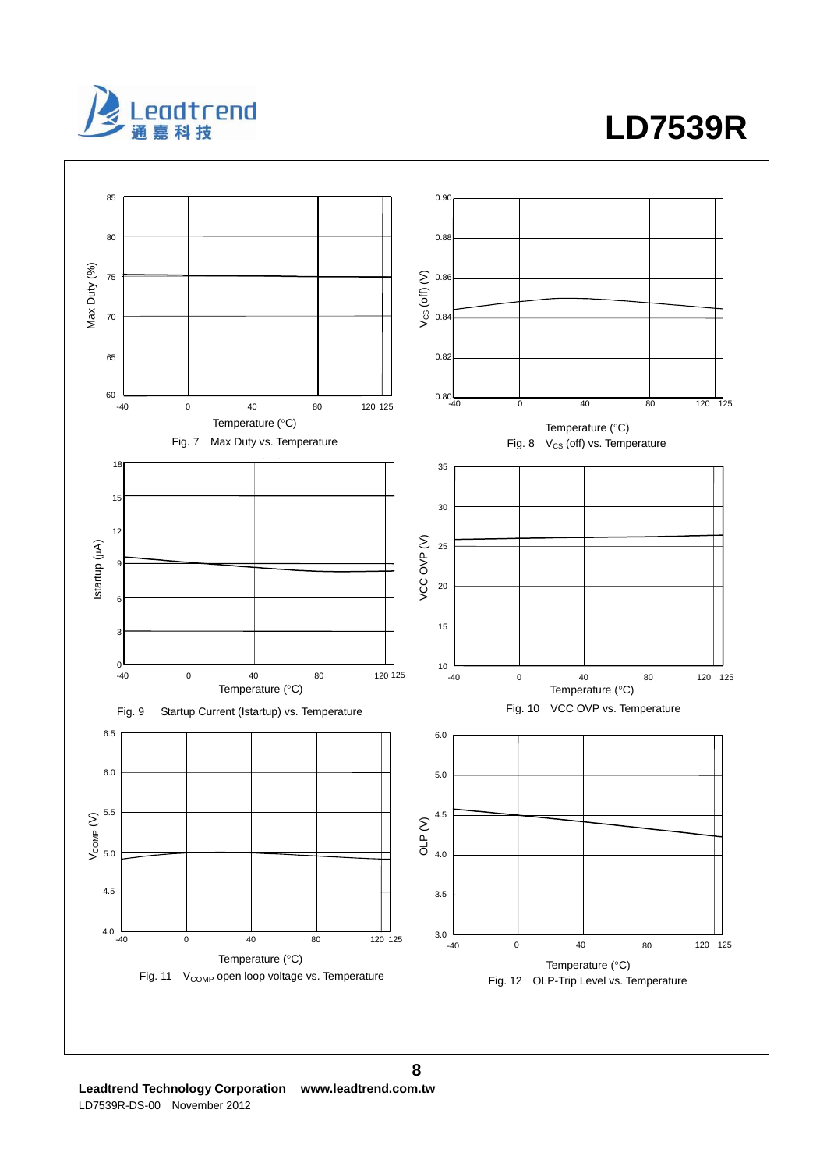



**Leadtrend Technology Corporation www.leadtrend.com.tw**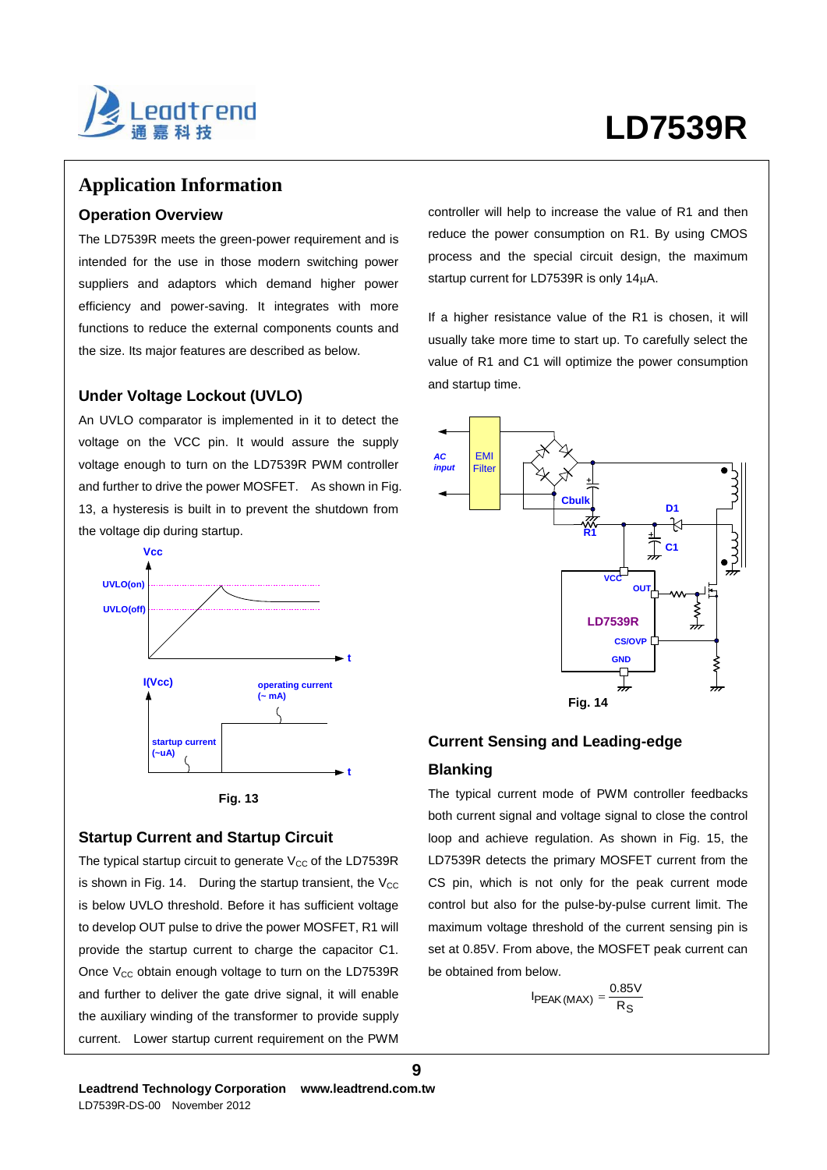

### **Application Information**

### **Operation Overview**

The LD7539R meets the green-power requirement and is intended for the use in those modern switching power suppliers and adaptors which demand higher power efficiency and power-saving. It integrates with more functions to reduce the external components counts and the size. Its major features are described as below.

### **Under Voltage Lockout (UVLO)**

An UVLO comparator is implemented in it to detect the voltage on the VCC pin. It would assure the supply voltage enough to turn on the LD7539R PWM controller and further to drive the power MOSFET. As shown in Fig. 13, a hysteresis is built in to prevent the shutdown from the voltage dip during startup.





### **Startup Current and Startup Circuit**

The typical startup circuit to generate  $V_{CC}$  of the LD7539R is shown in Fig. 14. During the startup transient, the  $V_{CC}$ is below UVLO threshold. Before it has sufficient voltage to develop OUT pulse to drive the power MOSFET, R1 will provide the startup current to charge the capacitor C1. Once  $V_{CC}$  obtain enough voltage to turn on the LD7539R and further to deliver the gate drive signal, it will enable the auxiliary winding of the transformer to provide supply current. Lower startup current requirement on the PWM

controller will help to increase the value of R1 and then reduce the power consumption on R1. By using CMOS process and the special circuit design, the maximum startup current for LD7539R is only 14µA.

If a higher resistance value of the R1 is chosen, it will usually take more time to start up. To carefully select the value of R1 and C1 will optimize the power consumption and startup time.



# **Current Sensing and Leading-edge**

### **Blanking**

The typical current mode of PWM controller feedbacks both current signal and voltage signal to close the control loop and achieve regulation. As shown in Fig. 15, the LD7539R detects the primary MOSFET current from the CS pin, which is not only for the peak current mode control but also for the pulse-by-pulse current limit. The maximum voltage threshold of the current sensing pin is set at 0.85V. From above, the MOSFET peak current can be obtained from below.

$$
I_{PEAK(MAX)} = \frac{0.85V}{R_S}
$$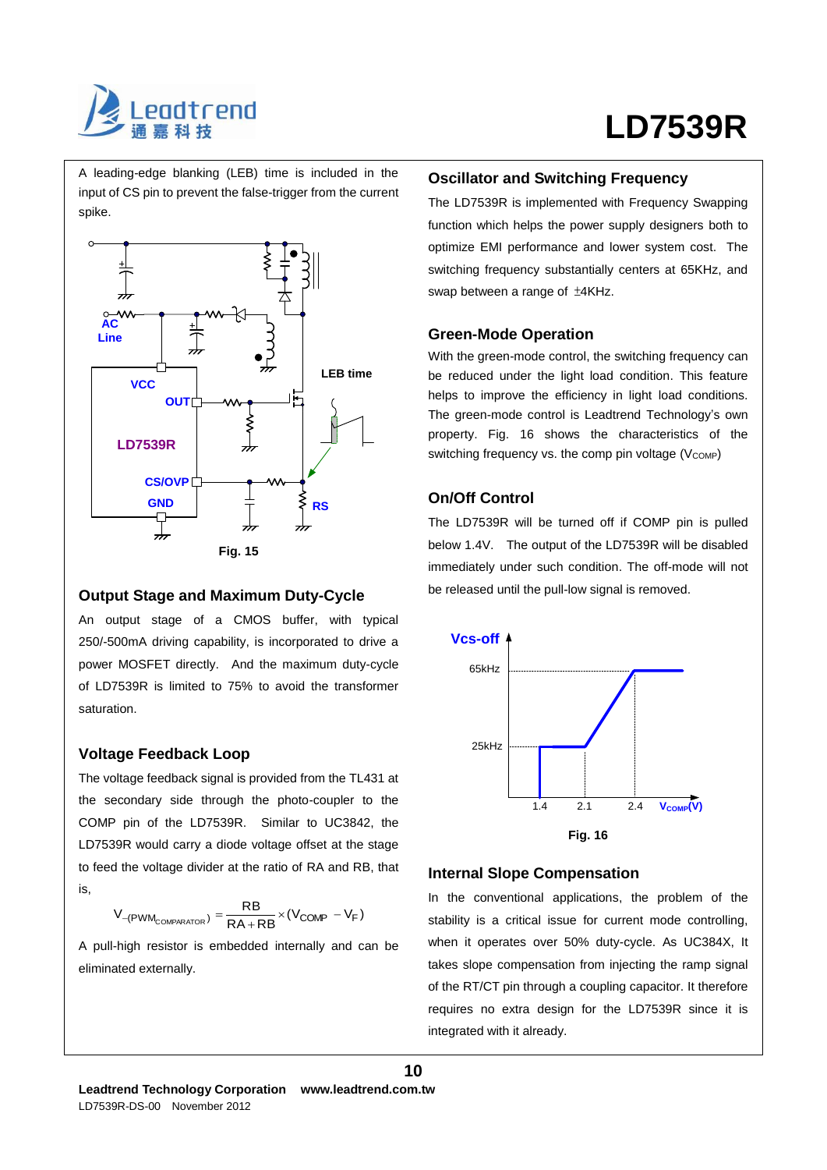

A leading-edge blanking (LEB) time is included in the input of CS pin to prevent the false-trigger from the current spike.



### **Output Stage and Maximum Duty-Cycle**

An output stage of a CMOS buffer, with typical 250/-500mA driving capability, is incorporated to drive a power MOSFET directly. And the maximum duty-cycle of LD7539R is limited to 75% to avoid the transformer saturation.

### **Voltage Feedback Loop**

The voltage feedback signal is provided from the TL431 at the secondary side through the photo-coupler to the COMP pin of the LD7539R. Similar to UC3842, the LD7539R would carry a diode voltage offset at the stage to feed the voltage divider at the ratio of RA and RB, that is,

$$
V_{-(PWM_{COMPARATOR})} = \frac{RB}{RA+RB} \times (V_{COMP} \, - V_F)
$$

A pull-high resistor is embedded internally and can be eliminated externally.

### **Oscillator and Switching Frequency**

The LD7539R is implemented with Frequency Swapping function which helps the power supply designers both to optimize EMI performance and lower system cost. The switching frequency substantially centers at 65KHz, and swap between a range of ±4KHz.

### **Green-Mode Operation**

With the green-mode control, the switching frequency can be reduced under the light load condition. This feature helps to improve the efficiency in light load conditions. The green-mode control is Leadtrend Technology's own property. Fig. 16 shows the characteristics of the switching frequency vs. the comp pin voltage  $(V_{\text{COMP}})$ 

### **On/Off Control**

The LD7539R will be turned off if COMP pin is pulled below 1.4V. The output of the LD7539R will be disabled immediately under such condition. The off-mode will not be released until the pull-low signal is removed.



### **Internal Slope Compensation**

**10**

In the conventional applications, the problem of the stability is a critical issue for current mode controlling, when it operates over 50% duty-cycle. As UC384X, It takes slope compensation from injecting the ramp signal of the RT/CT pin through a coupling capacitor. It therefore requires no extra design for the LD7539R since it is integrated with it already.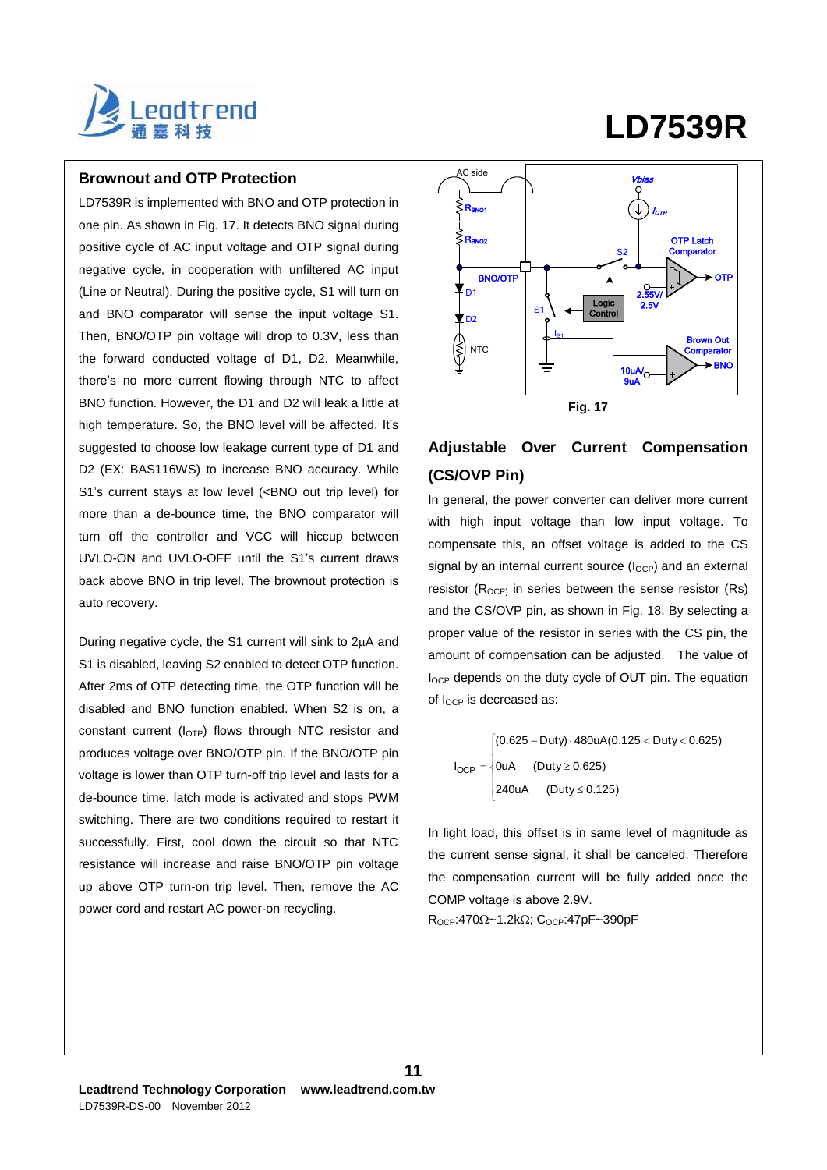

### **Brownout and OTP Protection**

LD7539R is implemented with BNO and OTP protection in one pin. As shown in Fig. 17. It detects BNO signal during positive cycle of AC input voltage and OTP signal during negative cycle, in cooperation with unfiltered AC input (Line or Neutral). During the positive cycle, S1 will turn on and BNO comparator will sense the input voltage S1. Then, BNO/OTP pin voltage will drop to 0.3V, less than the forward conducted voltage of D1, D2. Meanwhile, there's no more current flowing through NTC to affect BNO function. However, the D1 and D2 will leak a little at high temperature. So, the BNO level will be affected. It's suggested to choose low leakage current type of D1 and D2 (EX: BAS116WS) to increase BNO accuracy. While S1's current stays at low level (<BNO out trip level) for more than a de-bounce time, the BNO comparator will turn off the controller and VCC will hiccup between UVLO-ON and UVLO-OFF until the S1's current draws back above BNO in trip level. The brownout protection is auto recovery.

During negative cycle, the S1 current will sink to  $2\mu A$  and S1 is disabled, leaving S2 enabled to detect OTP function. After 2ms of OTP detecting time, the OTP function will be disabled and BNO function enabled. When S2 is on, a constant current (l<sub>OTP</sub>) flows through NTC resistor and produces voltage over BNO/OTP pin. If the BNO/OTP pin voltage is lower than OTP turn-off trip level and lasts for a de-bounce time, latch mode is activated and stops PWM switching. There are two conditions required to restart it successfully. First, cool down the circuit so that NTC resistance will increase and raise BNO/OTP pin voltage up above OTP turn-on trip level. Then, remove the AC power cord and restart AC power-on recycling.

### **BNO/OTF** AC side NTC 10uA/ 9uA Brown Out **Comparator** Vbias **OTP Latch Comparator** 2.55V/ 2.5V S1 S2  $I_{S1}$ Logic Control BNO OTP Rbno1 |  $(\downarrow)$  /other D1 रा ज  $\geq$ R<sub>BNO2</sub> **Fig. 17**

**LD7539R**

# **Adjustable Over Current Compensation (CS/OVP Pin)**

In general, the power converter can deliver more current with high input voltage than low input voltage. To compensate this, an offset voltage is added to the CS signal by an internal current source  $(I_{OCP})$  and an external resistor  $(R_{OCP})$  in series between the sense resistor  $(Rs)$ and the CS/OVP pin, as shown in Fig. 18. By selecting a proper value of the resistor in series with the CS pin, the amount of compensation can be adjusted. The value of I<sub>OCP</sub> depends on the duty cycle of OUT pin. The equation of IOCP is decreased as:

 $\vert$  $\mathfrak{r}$  $I_{OCP} = \begin{cases}$  $\overline{1}$  $(0.625 - Duty) \cdot 480uA(0.125 < Duty < 0.625)$ 240uA (Duty  $\leq$  0.125) 0uA  $(Duty \ge 0.625)$ 

In light load, this offset is in same level of magnitude as the current sense signal, it shall be canceled. Therefore the compensation current will be fully added once the COMP voltage is above 2.9V.

 $R_{OCP}:470\Omega$ ~1.2k $\Omega$ ; C<sub>OCP</sub>:47pF~390pF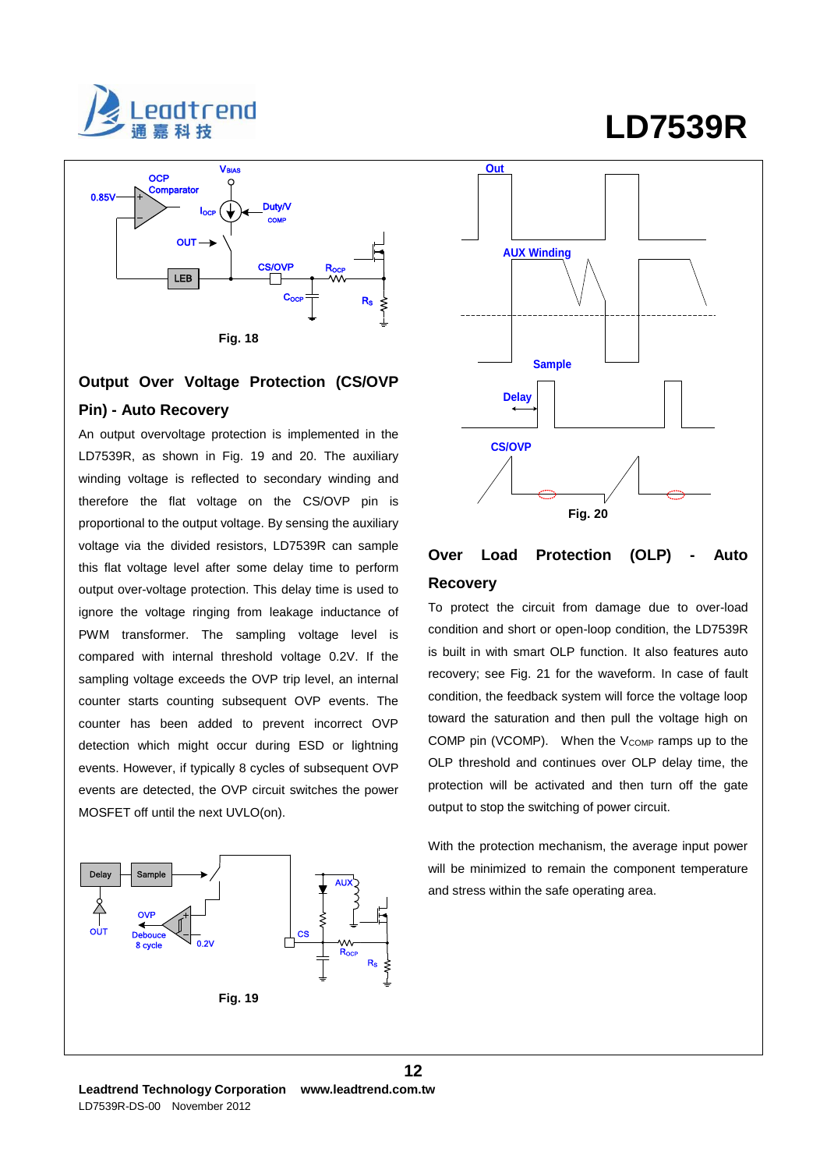



# **Output Over Voltage Protection (CS/OVP Pin) - Auto Recovery**

An output overvoltage protection is implemented in the LD7539R, as shown in Fig. 19 and 20. The auxiliary winding voltage is reflected to secondary winding and therefore the flat voltage on the CS/OVP pin is proportional to the output voltage. By sensing the auxiliary voltage via the divided resistors, LD7539R can sample this flat voltage level after some delay time to perform output over-voltage protection. This delay time is used to ignore the voltage ringing from leakage inductance of PWM transformer. The sampling voltage level is compared with internal threshold voltage 0.2V. If the sampling voltage exceeds the OVP trip level, an internal counter starts counting subsequent OVP events. The counter has been added to prevent incorrect OVP detection which might occur during ESD or lightning events. However, if typically 8 cycles of subsequent OVP events are detected, the OVP circuit switches the power MOSFET off until the next UVLO(on).





# **Over Load Protection (OLP) - Auto Recovery**

To protect the circuit from damage due to over-load condition and short or open-loop condition, the LD7539R is built in with smart OLP function. It also features auto recovery; see Fig. 21 for the waveform. In case of fault condition, the feedback system will force the voltage loop toward the saturation and then pull the voltage high on COMP pin (VCOMP). When the  $V_{\text{COMP}}$  ramps up to the OLP threshold and continues over OLP delay time, the protection will be activated and then turn off the gate output to stop the switching of power circuit.

With the protection mechanism, the average input power will be minimized to remain the component temperature and stress within the safe operating area.

# **LD7539R**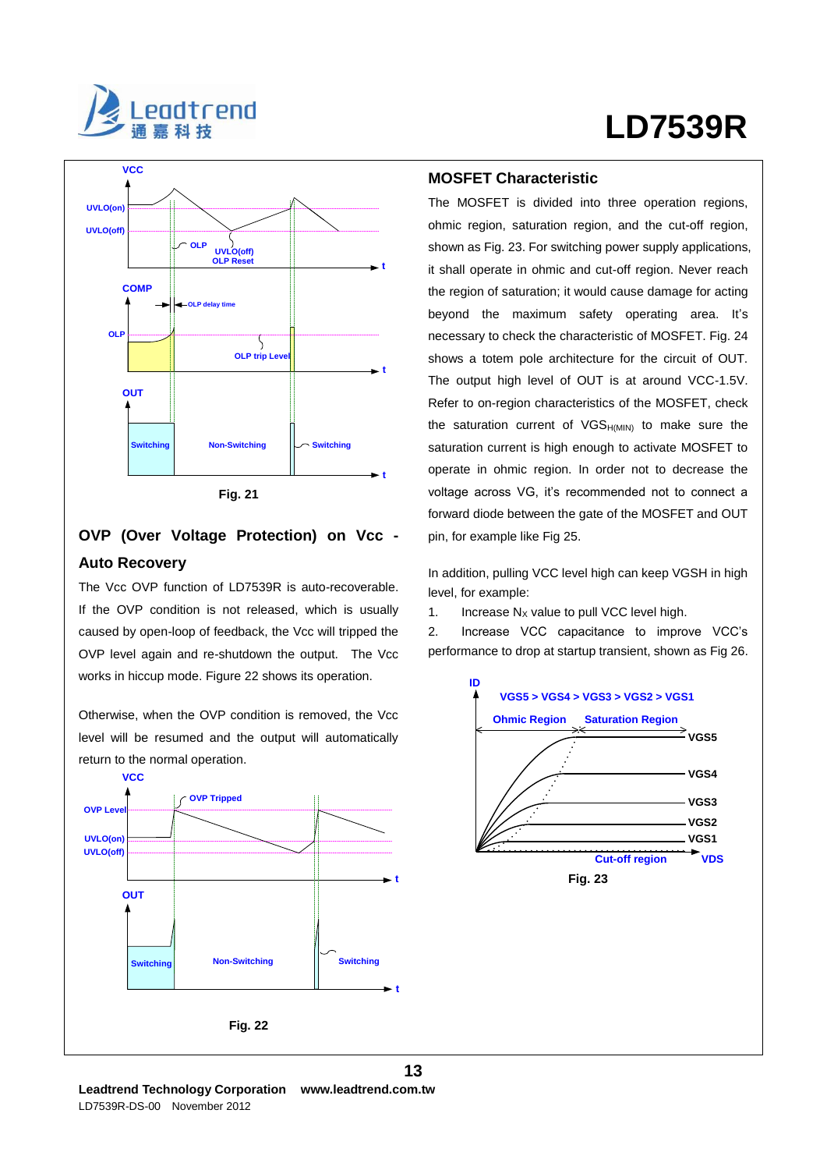



# **OVP (Over Voltage Protection) on Vcc - Auto Recovery**

The Vcc OVP function of LD7539R is auto-recoverable. If the OVP condition is not released, which is usually caused by open-loop of feedback, the Vcc will tripped the OVP level again and re-shutdown the output. The Vcc works in hiccup mode. Figure 22 shows its operation.

Otherwise, when the OVP condition is removed, the Vcc level will be resumed and the output will automatically return to the normal operation.



### **MOSFET Characteristic**

The MOSFET is divided into three operation regions, ohmic region, saturation region, and the cut-off region, shown as Fig. 23. For switching power supply applications, it shall operate in ohmic and cut-off region. Never reach the region of saturation; it would cause damage for acting beyond the maximum safety operating area. It's necessary to check the characteristic of MOSFET. Fig. 24 shows a totem pole architecture for the circuit of OUT. The output high level of OUT is at around VCC-1.5V. Refer to on-region characteristics of the MOSFET, check the saturation current of  $VGS_{H(MIN)}$  to make sure the saturation current is high enough to activate MOSFET to operate in ohmic region. In order not to decrease the voltage across VG, it's recommended not to connect a forward diode between the gate of the MOSFET and OUT pin, for example like Fig 25.

In addition, pulling VCC level high can keep VGSH in high level, for example:

1. Increase  $N_X$  value to pull VCC level high.

2. Increase VCC capacitance to improve VCC's performance to drop at startup transient, shown as Fig 26.

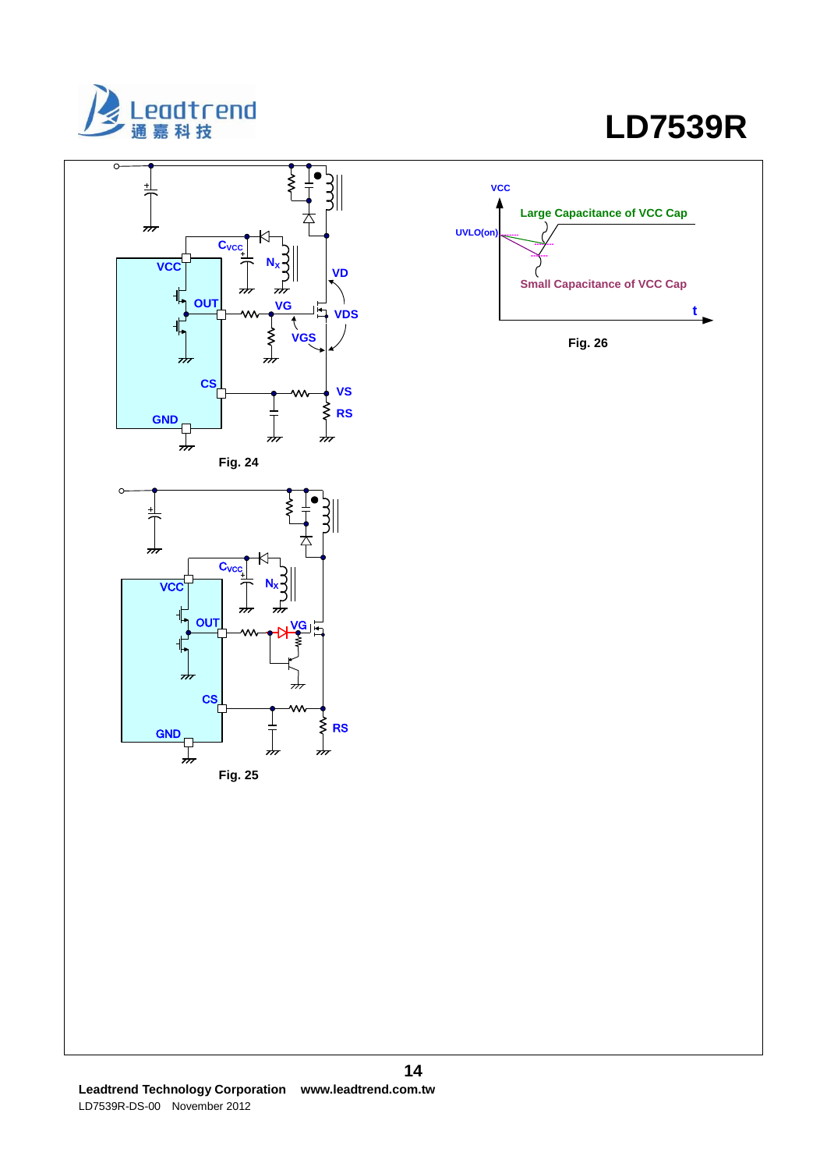

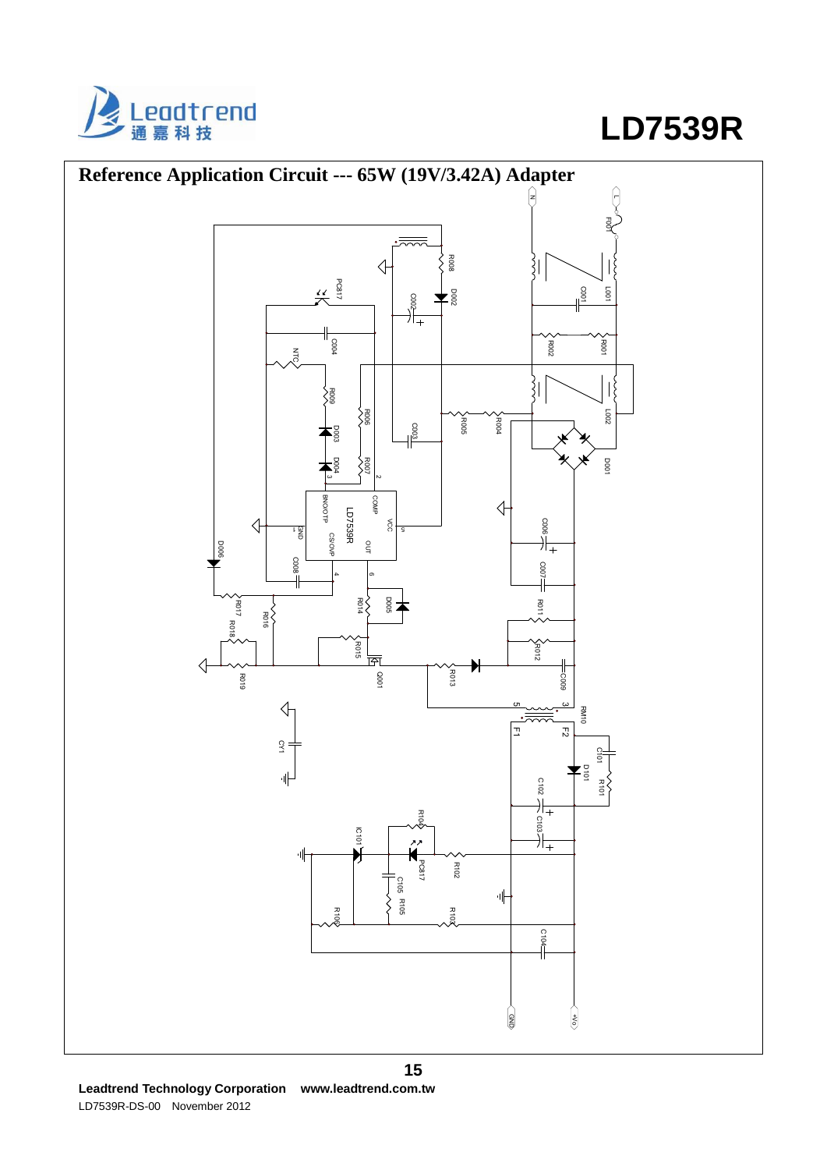



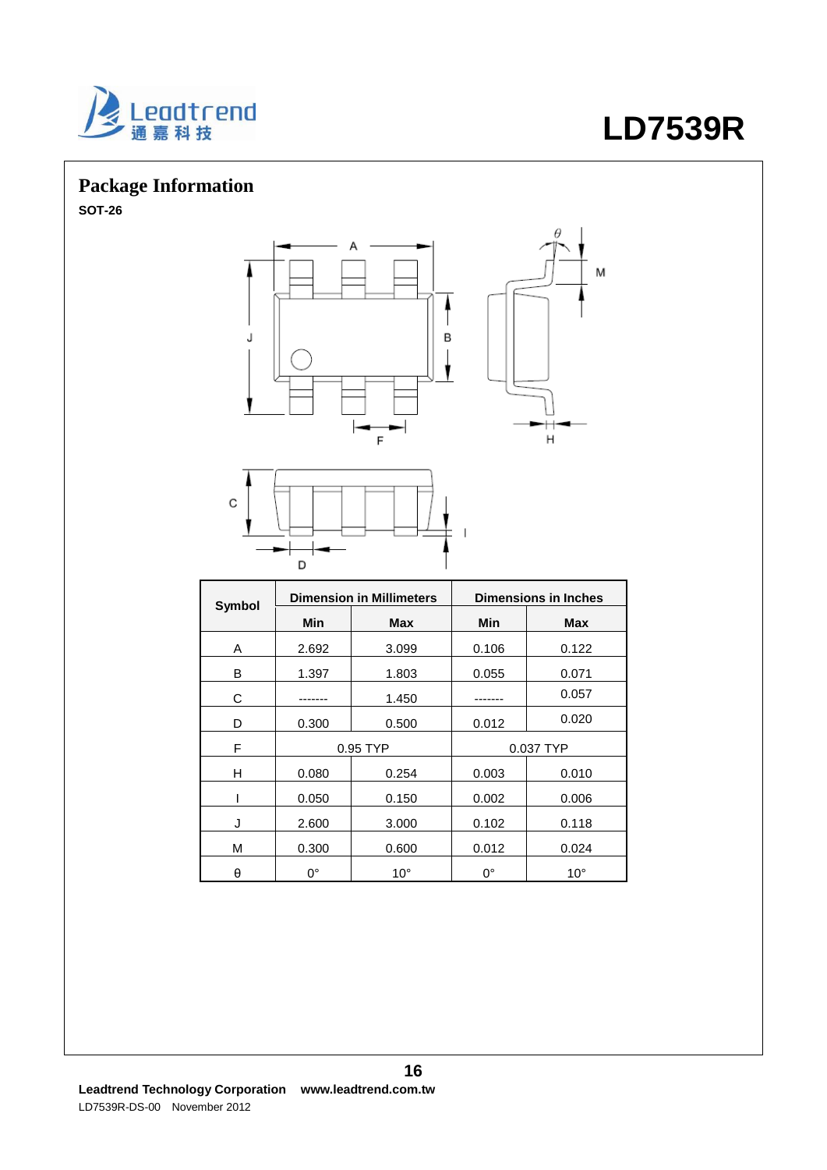

# **Package Information**

**SOT-26**





|        |             | <b>Dimension in Millimeters</b> |           | <b>Dimensions in Inches</b> |
|--------|-------------|---------------------------------|-----------|-----------------------------|
| Symbol | Min         | <b>Max</b>                      | Min       | <b>Max</b>                  |
| A      | 2.692       | 3.099                           | 0.106     | 0.122                       |
| в      | 1.397       | 1.803                           | 0.055     | 0.071                       |
| С      |             | 1.450                           |           | 0.057                       |
| D      | 0.300       | 0.500                           | 0.012     | 0.020                       |
| F      | 0.95 TYP    |                                 | 0.037 TYP |                             |
| Н      | 0.080       | 0.254                           | 0.003     | 0.010                       |
|        | 0.050       | 0.150                           | 0.002     | 0.006                       |
| J      | 2.600       | 3.000                           | 0.102     | 0.118                       |
| M      | 0.300       | 0.600                           | 0.012     | 0.024                       |
| θ      | $0^{\circ}$ | $10^{\circ}$                    | 0°        | $10^{\circ}$                |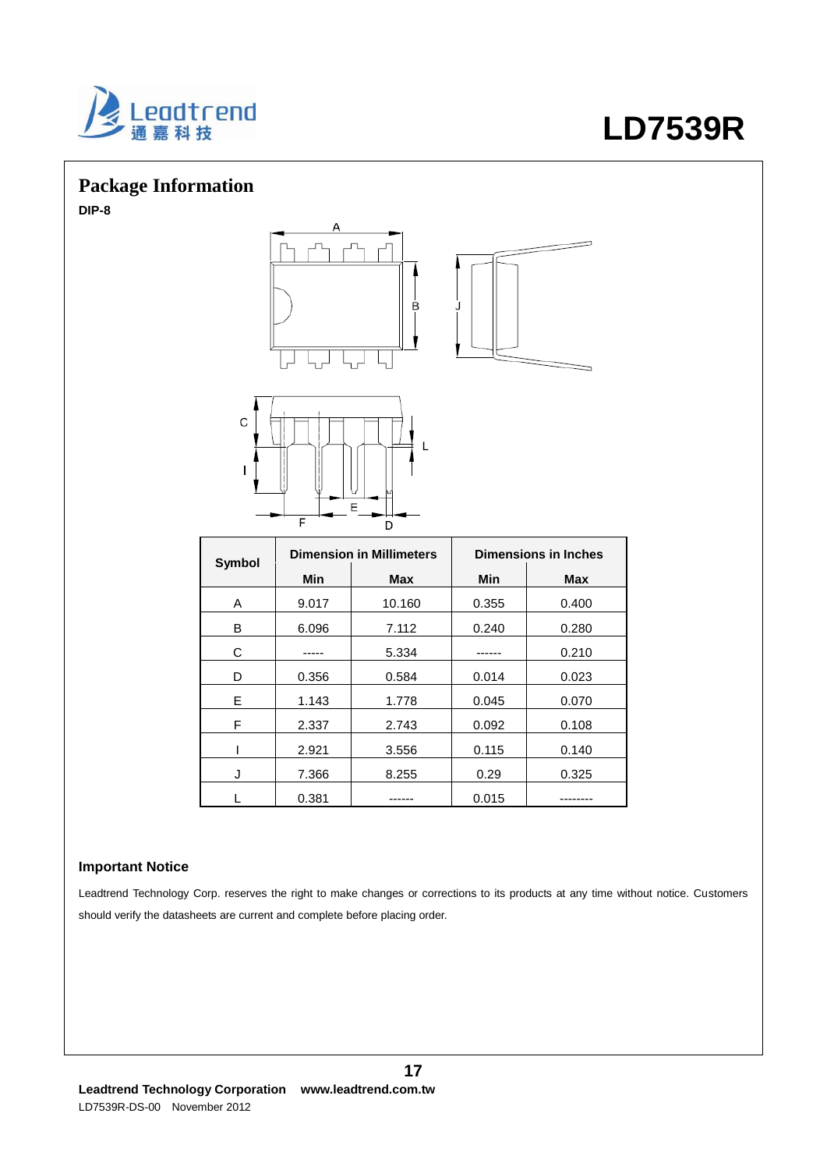

# **Package Information**

**DIP-8**



|        | <b>Dimension in Millimeters</b> |        | <b>Dimensions in Inches</b> |            |
|--------|---------------------------------|--------|-----------------------------|------------|
| Symbol | Min                             | Max    | <b>Min</b>                  | <b>Max</b> |
| A      | 9.017                           | 10.160 | 0.355                       | 0.400      |
| В      | 6.096                           | 7.112  | 0.240                       | 0.280      |
| С      |                                 | 5.334  |                             | 0.210      |
| D      | 0.356                           | 0.584  | 0.014                       | 0.023      |
| Е      | 1.143                           | 1.778  | 0.045                       | 0.070      |
| F      | 2.337                           | 2.743  | 0.092                       | 0.108      |
|        | 2.921                           | 3.556  | 0.115                       | 0.140      |
| J      | 7.366                           | 8.255  | 0.29                        | 0.325      |
|        | 0.381                           |        | 0.015                       |            |

### **Important Notice**

Leadtrend Technology Corp. reserves the right to make changes or corrections to its products at any time without notice. Customers should verify the datasheets are current and complete before placing order.